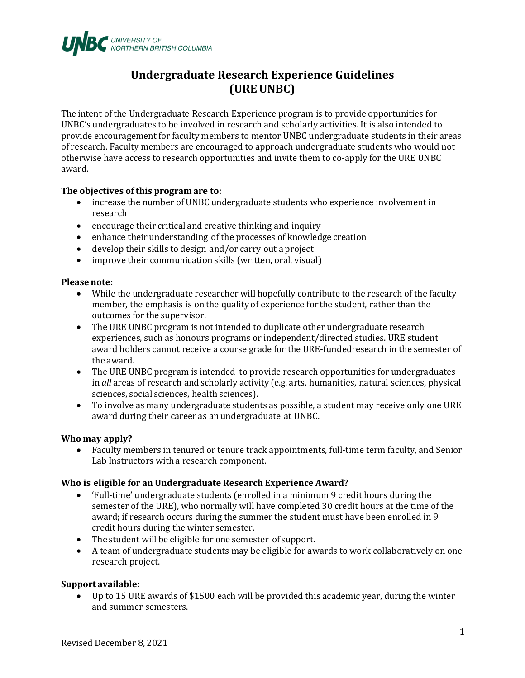

# **Undergraduate Research Experience Guidelines (UREUNBC)**

The intent ofthe Undergraduate Research Experience program is to provide opportunities for UNBC's undergraduates to be involved in research and scholarly activities. It is also intended to provide encouragement for faculty members to mentor UNBC undergraduate students in their areas of research. Faculty members are encouraged to approach undergraduate students who would not otherwise have access to research opportunities and invite them to co-apply for the URE UNBC award.

# **The objectives of this program are to:**

- increase the number of UNBC undergraduate students who experience involvement in research
- encourage their critical and creative thinking and inquiry
- enhance their understanding of the processes of knowledge creation
- develop their skills to design and/or carry out a project
- improve their communication skills (written, oral, visual)

#### **Please note:**

- While the undergraduate researcher will hopefully contribute to the research of the faculty member, the emphasis is on the quality of experience for the student, rather than the outcomes for the supervisor.
- The URE UNBC program is not intended to duplicate other undergraduate research experiences, such as honours programs or independent/directed studies. URE student award holders cannot receive a course grade for the URE-fundedresearch in the semester of the award.
- The URE UNBC program is intended to provide research opportunities for undergraduates in *all* areas of research and scholarly activity (e.g. arts, humanities, natural sciences, physical sciences, social sciences, health sciences).
- To involve as many undergraduate students as possible, a student may receive only one URE award during their career as an undergraduate at UNBC.

#### **Who may apply?**

• Faculty members in tenured or tenure track appointments, full-time term faculty, and Senior Lab Instructors witha research component.

#### **Who is eligible for an Undergraduate Research Experience Award?**

- 'Full-time' undergraduate students (enrolled in a minimum 9 credit hours during the semester of the URE), who normally will have completed 30 credit hours at the time of the award; if research occurs during the summer the student must have been enrolled in 9 credit hours during the winter semester.
- The student will be eligible for one semester of support.
- A team of undergraduate students may be eligible for awards to work collaboratively on one research project.

#### **Support available:**

• Up to 15 URE awards of \$1500 each will be provided this academic year, during the winter and summer semesters.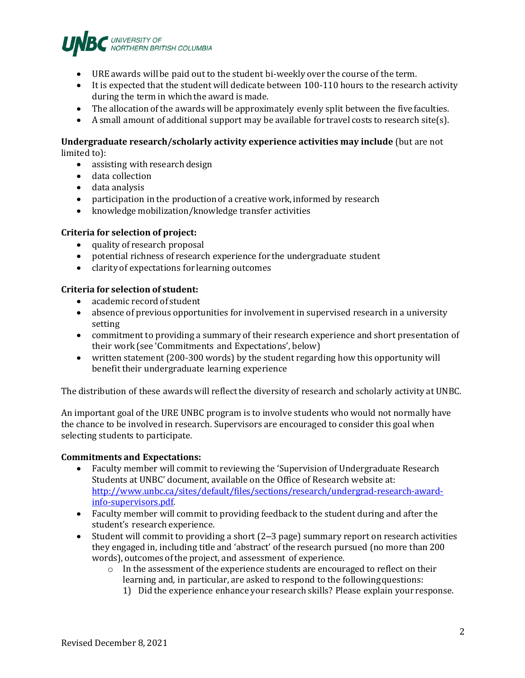

- URE awards will be paid out to the student bi-weekly over the course of the term.
- It is expected that the student will dedicate between 100-110 hours to the research activity during the term in which the award is made.
- The allocation of the awards will be approximately evenly split between the fivefaculties.
- A small amount of additional support may be available for travel costs to research site(s).

# **Undergraduate research/scholarly activity experience activities may include** (but are not limited to):

- assisting with research design
- data collection
- data analysis
- participation in the production of a creative work, informed by research
- knowledge mobilization/knowledge transfer activities

#### **Criteria for selection of project:**

- quality of research proposal
- potential richness of research experience for the undergraduate student
- clarity of expectations for learning outcomes

# **Criteria for selection of student:**

- academic record of student
- absence of previous opportunities for involvement in supervised research in a university setting
- commitment to providing a summary of their research experience and short presentation of their work (see 'Commitments and Expectations', below)
- written statement (200-300 words) by the student regarding how this opportunity will benefit their undergraduate learning experience

The distribution of these awards will reflectthe diversity of research and scholarly activity at UNBC.

An important goal of the URE UNBC program is to involve students who would not normally have the chance to be involved in research. Supervisors are encouraged to consider this goal when selecting students to participate.

#### **Commitments and Expectations:**

- Faculty member will commit to reviewing the 'Supervision of Undergraduate Research Students at UNBC' document, available on the Office of Research website at: [http://www.unbc.ca/sites/default/files/sections/research/undergrad-research-award](http://www.unbc.ca/sites/default/files/sections/research/undergrad-research-award-info-supervisors.pdf)[info-supervisors.pdf.](http://www.unbc.ca/sites/default/files/sections/research/undergrad-research-award-info-supervisors.pdf)
- Faculty member will commit to providing feedback to the student during and after the student's research experience.
- Student will commit to providing a short (2–3 page) summary report on research activities they engaged in, including title and 'abstract' ofthe research pursued (no more than 200 words), outcomes of the project, and assessment of experience.
	- $\circ$  In the assessment of the experience students are encouraged to reflect on their learning and, in particular, are asked to respond to the followingquestions:
		- 1) Did the experience enhance your research skills? Please explain your response.